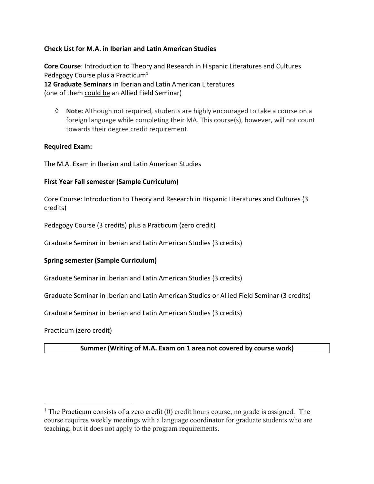# **Check List for M.A. in Iberian and Latin American Studies**

**Core Course**: Introduction to Theory and Research in Hispanic Literatures and Cultures Pedagogy Course plus a Practicum<sup>1</sup> **12 Graduate Seminars** in Iberian and Latin American Literatures (one of them could be an Allied Field Seminar)

à **Note:** Although not required, students are highly encouraged to take a course on a foreign language while completing their MA. This course(s), however, will not count towards their degree credit requirement.

# **Required Exam:**

The M.A. Exam in Iberian and Latin American Studies

# **First Year Fall semester (Sample Curriculum)**

Core Course: Introduction to Theory and Research in Hispanic Literatures and Cultures (3 credits)

Pedagogy Course (3 credits) plus a Practicum (zero credit)

Graduate Seminar in Iberian and Latin American Studies (3 credits)

#### **Spring semester (Sample Curriculum)**

Graduate Seminar in Iberian and Latin American Studies (3 credits)

Graduate Seminar in Iberian and Latin American Studies or Allied Field Seminar (3 credits)

Graduate Seminar in Iberian and Latin American Studies (3 credits)

Practicum (zero credit)

# **Summer (Writing of M.A. Exam on 1 area not covered by course work)**

<sup>&</sup>lt;sup>1</sup> The Practicum consists of a zero credit (0) credit hours course, no grade is assigned. The course requires weekly meetings with a language coordinator for graduate students who are teaching, but it does not apply to the program requirements.